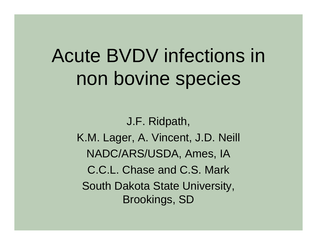# Acute BVDV infections in non bovine species

J.F. Ridpath, K.M. Lager, A. Vincent, J.D. Neill NADC/ARS/USDA, Ames, IA C.C.L. Chase and C.S. Mark South Dakota State University, Brookings, SD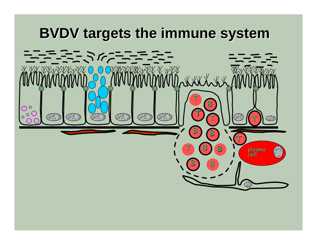#### **BVDV targets the immune system**

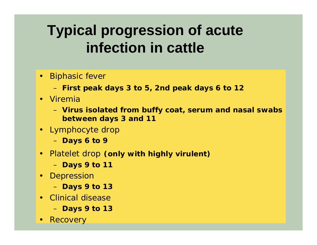### **Typical progression of acute infection in cattle**

- Biphasic fever
	- **First peak days 3 to 5, 2nd peak days 6 to 1 2**
- Viremia
	- **Virus isolated from buffy coat, serum and nasal swabs between days 3 and 11**
- Lymphocyte drop
	- **Days 6 to 9**
- Platelet drop **(only with highly virulent)**
	- Days 9 to 11
- Depression
	- **Days 9 to 13**
- Clinical disease
	- **Days 9 to 13**
- •**Recovery**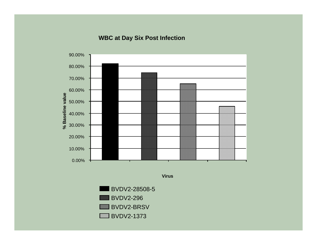#### **WBC at Day Six Post Infection**



BVDV2-BRSV BVDV2-1373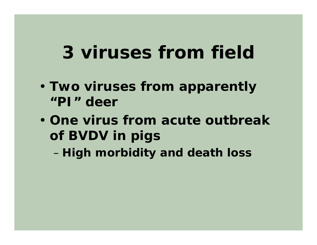## **3 viruses from field**

- • **Two viruses from apparently "PI" deer**
- **One virus from acute outbreak of BVDV in pigs**

–**High morbidity and death loss**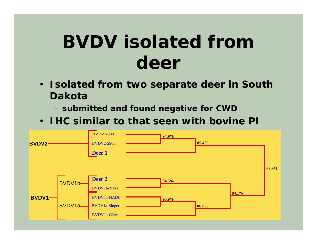## **BVDV isolated from deer**

• **Isolated from two separate deer in South Dakota** 

**submitted and found negative for CWD**

• **IHC similar to that seen with bovine PI**

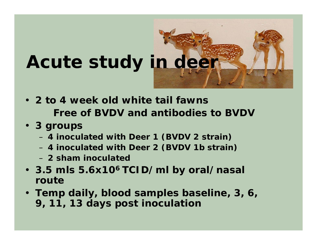

- **2 to 4 week old white tail fawnsFree of BVDV and antibodies to BVDV**
- **3 groups**
	- **4 inoculated with Deer 1 (BVDV 2 strain)**
	- **4 inoculated with Deer 2 (BVDV 1b strain)**
	- **2 sham inoculated**
- **3.5 mls 5.6x106 TCID/ml by oral/nasal route**
- **Temp daily, blood samples baseline, 3, 6, 9, 11, 13 days post inoculation**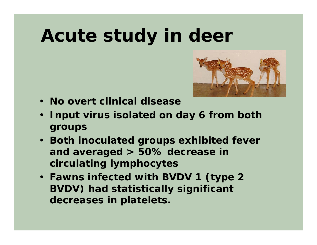# **Acute study in deer**



- **No overt clinical disease**
- **Input virus isolated on day 6 from both groups**
- **Both inoculated groups exhibited fever and averaged > 50% decrease in circulating lymphocytes**
- **Fawns infected with BVDV 1 (type 2 BVDV) had statistically significant decreases in platelets.**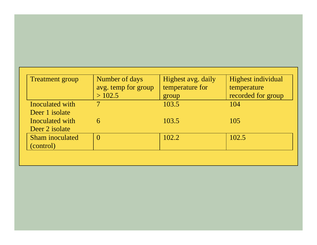|                     | Highest avg. daily | Highest individual |
|---------------------|--------------------|--------------------|
| avg. temp for group | temperature for    | temperature        |
| >102.5              | group              | recorded for group |
| 7                   | 103.5              | 104                |
|                     |                    |                    |
| 6                   | 103.5              | 105                |
|                     |                    |                    |
| $\overline{0}$      | 102.2              | 102.5              |
|                     |                    |                    |
|                     |                    |                    |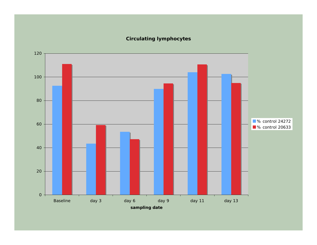#### **Circulating lymphocytes**

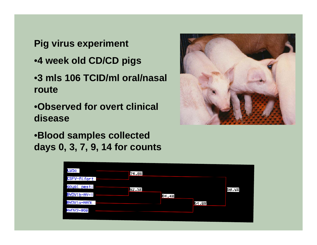**Pig virus experiment**

- •**4 week old CD/CD pigs**
- •**3 mls106 TCID/ml oral/nasal route**
- •**Observed for overt clinical disease**
- •**Blood samples collected days 0, 3, 7, 9, 14 for counts**



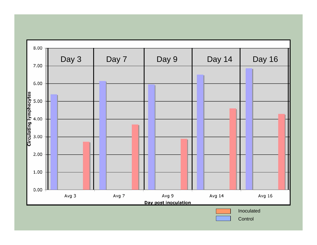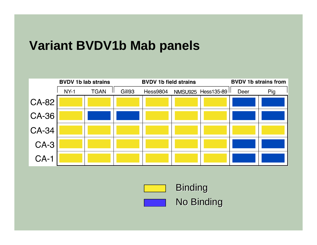#### **Variant BVDV1b Mab panels**



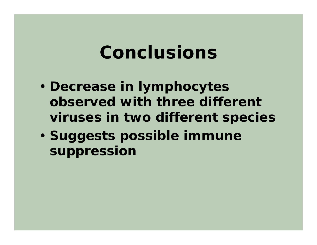### **Conclusions**

- • **Decrease in lymphocytes observed with three different viruses in two different species**
- • **Suggests possible immune suppression**